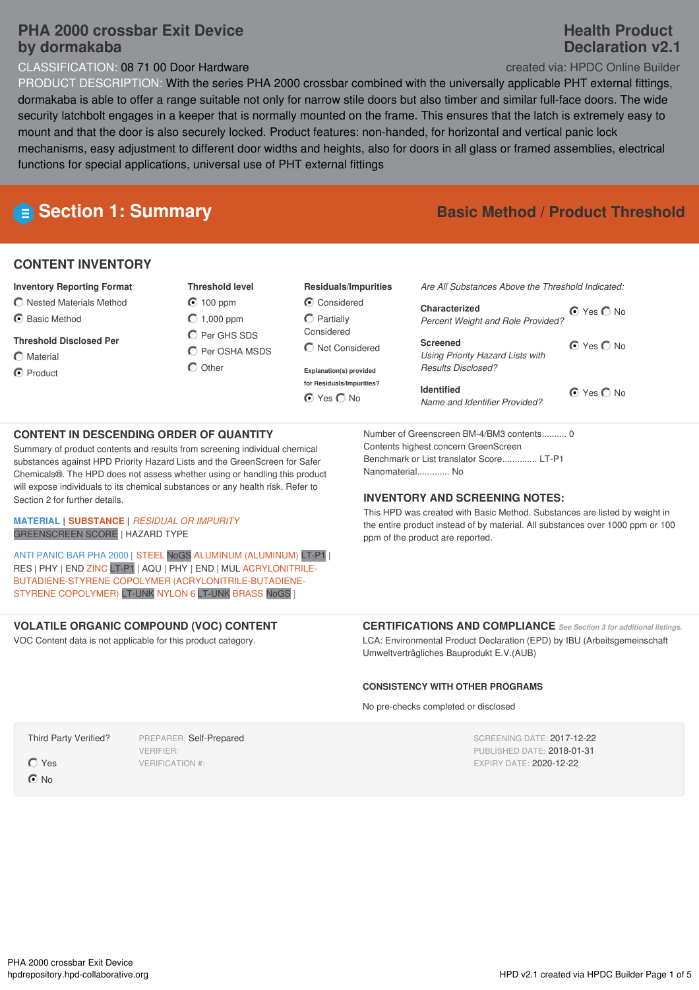# **PHA 2000 crossbar Exit Device by dormakaba**

CLASSIFICATION: 08 71 00 Door Hardware created via: HPDC Online Builder

# PRODUCT DESCRIPTION: With the series PHA 2000 crossbar combined with the universally applicable PHT external fittings, dormakaba is able to offer a range suitable not only for narrow stile doors but also timber and similar full-face doors. The wide security latchbolt engages in a keeper that is normally mounted on the frame. This ensures that the latch is extremely easy to mount and that the door is also securely locked. Product features: non-handed, for horizontal and vertical panic lock mechanisms, easy adjustment to different door widths and heights, also for doors in all glass or framed assemblies, electrical functions for special applications, universal use of PHT external fittings

# **CONTENT INVENTORY**

- **Inventory Reporting Format**
- $\bigcirc$  Nested Materials Method
- **G** Basic Method
- **Threshold Disclosed Per**
- $O$  Material
- C Product
- **Threshold level** 100 ppm  $O$  1,000 ppm C Per GHS SDS
- $\bigcirc$  Per OSHA MSDS  $\bigcap$  Other

### **Residuals/Impurities** C Considered

 $\bigcirc$  Partially Considered Not Considered

**Explanation(s) provided for Residuals/Impurities?** O Yes O No

# **E** Section 1: Summary **Basic Method** */* Product Threshold

⊙ Yes O No ⊙ Yes O No **Characterized** *Percent Weight and Role Provided?* **Screened** *Using Priority Hazard Lists with Results Disclosed?*

O Yes O No **Identified** *Name and Identifier Provided?*

## **CONTENT IN DESCENDING ORDER OF QUANTITY**

Summary of product contents and results from screening individual chemical substances against HPD Priority Hazard Lists and the GreenScreen for Safer Chemicals®. The HPD does not assess whether using or handling this product will expose individuals to its chemical substances or any health risk. Refer to Section 2 for further details.

#### **MATERIAL | SUBSTANCE |** *RESIDUAL OR IMPURITY* GREENSCREEN SCORE | HAZARD TYPE

ANTI PANIC BAR PHA 2000 [ STEEL NoGS ALUMINUM (ALUMINUM) LT-P1 | RES | PHY | END ZINC LT-P1 | AQU | PHY | END | MUL ACRYLONITRILE-BUTADIENE-STYRENE COPOLYMER (ACRYLONITRILE-BUTADIENE-STYRENE COPOLYMER) LT-UNK NYLON 6 LT-UNK BRASS NoGS ]

## **VOLATILE ORGANIC COMPOUND (VOC) CONTENT**

VOC Content data is not applicable for this product category.

#### Number of Greenscreen BM-4/BM3 contents.......... 0 Contents highest concern GreenScreen Benchmark or List translator Score.............. LT-P1 Nanomaterial............. No

### **INVENTORY AND SCREENING NOTES:**

This HPD was created with Basic Method. Substances are listed by weight in the entire product instead of by material. All substances over 1000 ppm or 100 ppm of the product are reported.

**CERTIFICATIONS AND COMPLIANCE** *See Section <sup>3</sup> for additional listings.* LCA: Environmental Product Declaration (EPD) by IBU (Arbeitsgemeinschaft

# **CONSISTENCY WITH OTHER PROGRAMS**

Umweltverträgliches Bauprodukt E.V.(AUB)

No pre-checks completed or disclosed

SCREENING DATE: 2017-12-22 PUBLISHED DATE: 2018-01-31 EXPIRY DATE: 2020-12-22

Yes

Third Party Verified?

**⊙**No

PREPARER: Self-Prepared VERIFIER: VERIFICATION #:

# **Health Product Declaration v2.1**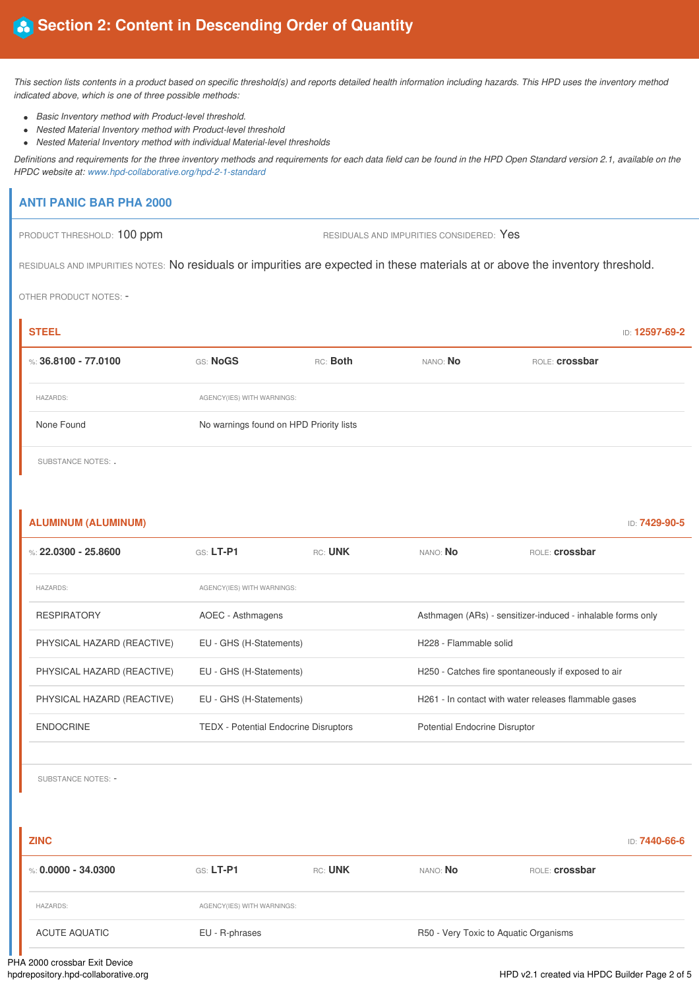This section lists contents in a product based on specific threshold(s) and reports detailed health information including hazards. This HPD uses the inventory method *indicated above, which is one of three possible methods:*

- *Basic Inventory method with Product-level threshold.*
- *Nested Material Inventory method with Product-level threshold*
- *Nested Material Inventory method with individual Material-level thresholds*

Definitions and requirements for the three inventory methods and requirements for each data field can be found in the HPD Open Standard version 2.1, available on the *HPDC website at: www.hpd-collaborative.org/hpd-2-1-standard*

## **ANTI PANIC BAR PHA 2000**

PRODUCT THRESHOLD: 100 ppm RESIDUALS AND IMPURITIES CONSIDERED: Yes

RESIDUALS AND IMPURITIES NOTES: No residuals or impurities are expected in these materials at or above the inventory threshold.

OTHER PRODUCT NOTES: -

| <b>STEEL</b>             |                                         |                            |                 |                       | ID: 12597-69-2 |
|--------------------------|-----------------------------------------|----------------------------|-----------------|-----------------------|----------------|
| $\%$ : 36.8100 - 77.0100 | <b>GS: NoGS</b>                         | RC: Both                   | NANO: <b>No</b> | ROLE: <b>Crossbar</b> |                |
| <b>HAZARDS:</b>          |                                         | AGENCY(IES) WITH WARNINGS: |                 |                       |                |
| None Found               | No warnings found on HPD Priority lists |                            |                 |                       |                |
|                          |                                         |                            |                 |                       |                |

SUBSTANCE NOTES: .

| <b>ALUMINUM (ALUMINUM)</b> |                                              |         |                                      | ID: 7429-90-5                                               |  |
|----------------------------|----------------------------------------------|---------|--------------------------------------|-------------------------------------------------------------|--|
| %: 22.0300 - 25.8600       | GS: LT-P1                                    | RC: UNK | NANO: <b>No</b>                      | ROLE: <b>crossbar</b>                                       |  |
| <b>HAZARDS:</b>            | AGENCY(IES) WITH WARNINGS:                   |         |                                      |                                                             |  |
| <b>RESPIRATORY</b>         | AOEC - Asthmagens                            |         |                                      | Asthmagen (ARs) - sensitizer-induced - inhalable forms only |  |
| PHYSICAL HAZARD (REACTIVE) | EU - GHS (H-Statements)                      |         |                                      | H228 - Flammable solid                                      |  |
| PHYSICAL HAZARD (REACTIVE) | EU - GHS (H-Statements)                      |         |                                      | H250 - Catches fire spontaneously if exposed to air         |  |
| PHYSICAL HAZARD (REACTIVE) | EU - GHS (H-Statements)                      |         |                                      | H261 - In contact with water releases flammable gases       |  |
| <b>ENDOCRINE</b>           | <b>TEDX</b> - Potential Endocrine Disruptors |         | <b>Potential Endocrine Disruptor</b> |                                                             |  |
|                            |                                              |         |                                      |                                                             |  |

SUBSTANCE NOTES: -

| <b>ZINC</b>             |                            |         |          |                                       | ID: <b>7440-66-6</b> |
|-------------------------|----------------------------|---------|----------|---------------------------------------|----------------------|
| $\%$ : 0.0000 - 34.0300 | <b>GS: LT-P1</b>           | RC: UNK | NANO: No | ROLE: <b>crossbar</b>                 |                      |
| <b>HAZARDS:</b>         | AGENCY(IES) WITH WARNINGS: |         |          |                                       |                      |
| ACUTE AQUATIC           | EU - R-phrases             |         |          | R50 - Very Toxic to Aquatic Organisms |                      |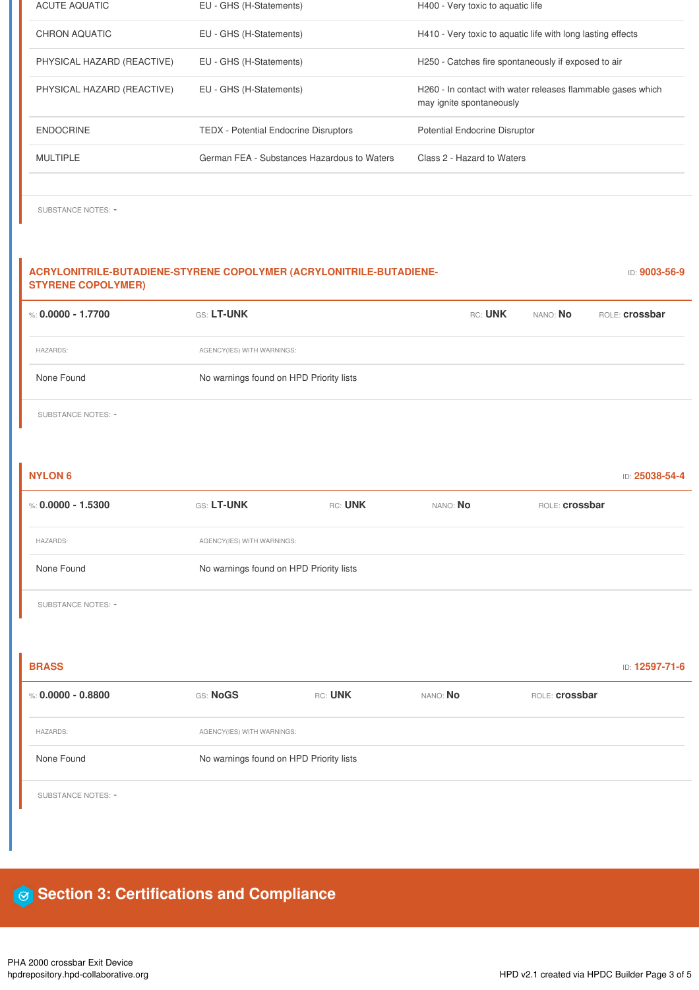| <b>ACUTE AQUATIC</b>       | EU - GHS (H-Statements)                      | H400 - Very toxic to aquatic life                                                       |
|----------------------------|----------------------------------------------|-----------------------------------------------------------------------------------------|
| CHRON AQUATIC              | EU - GHS (H-Statements)                      | H410 - Very toxic to aquatic life with long lasting effects                             |
| PHYSICAL HAZARD (REACTIVE) | EU - GHS (H-Statements)                      | H250 - Catches fire spontaneously if exposed to air                                     |
| PHYSICAL HAZARD (REACTIVE) | EU - GHS (H-Statements)                      | H260 - In contact with water releases flammable gases which<br>may ignite spontaneously |
| <b>ENDOCRINE</b>           | <b>TEDX</b> - Potential Endocrine Disruptors | <b>Potential Endocrine Disruptor</b>                                                    |
| <b>MULTIPLE</b>            | German FEA - Substances Hazardous to Waters  | Class 2 - Hazard to Waters                                                              |
|                            |                                              |                                                                                         |

SUBSTANCE NOTES: -

| ACRYLONITRILE-BUTADIENE-STYRENE COPOLYMER (ACRYLONITRILE-BUTADIENE-<br><b>STYRENE COPOLYMER)</b> |                                         |         |          |                       | ID: 9003-56-9  |
|--------------------------------------------------------------------------------------------------|-----------------------------------------|---------|----------|-----------------------|----------------|
| %: $0.0000 - 1.7700$                                                                             | GS: LT-UNK                              |         | RC: UNK  | NANO: No              | ROLE: crossbar |
| <b>HAZARDS:</b>                                                                                  | AGENCY(IES) WITH WARNINGS:              |         |          |                       |                |
| None Found                                                                                       | No warnings found on HPD Priority lists |         |          |                       |                |
| SUBSTANCE NOTES: -                                                                               |                                         |         |          |                       |                |
|                                                                                                  |                                         |         |          |                       |                |
| <b>NYLON 6</b>                                                                                   |                                         |         |          |                       | ID: 25038-54-4 |
| %: $0.0000 - 1.5300$                                                                             | GS: LT-UNK                              | RC: UNK | NANO: No | ROLE: <b>Crossbar</b> |                |
| <b>HAZARDS:</b>                                                                                  | AGENCY(IES) WITH WARNINGS:              |         |          |                       |                |
| None Found                                                                                       | No warnings found on HPD Priority lists |         |          |                       |                |
| SUBSTANCE NOTES: -                                                                               |                                         |         |          |                       |                |
|                                                                                                  |                                         |         |          |                       |                |
| <b>BRASS</b>                                                                                     |                                         |         |          |                       | ID: 12597-71-6 |

| %: 0.0000 - 0.8800 | GS: NoGS                                | RC: UNK | NANO: <b>No</b> | ROLE: <b>crossbar</b> |  |
|--------------------|-----------------------------------------|---------|-----------------|-----------------------|--|
| <b>HAZARDS:</b>    | AGENCY(IES) WITH WARNINGS:              |         |                 |                       |  |
| None Found         | No warnings found on HPD Priority lists |         |                 |                       |  |

SUBSTANCE NOTES: -

# **Section 3: Certifications and Compliance**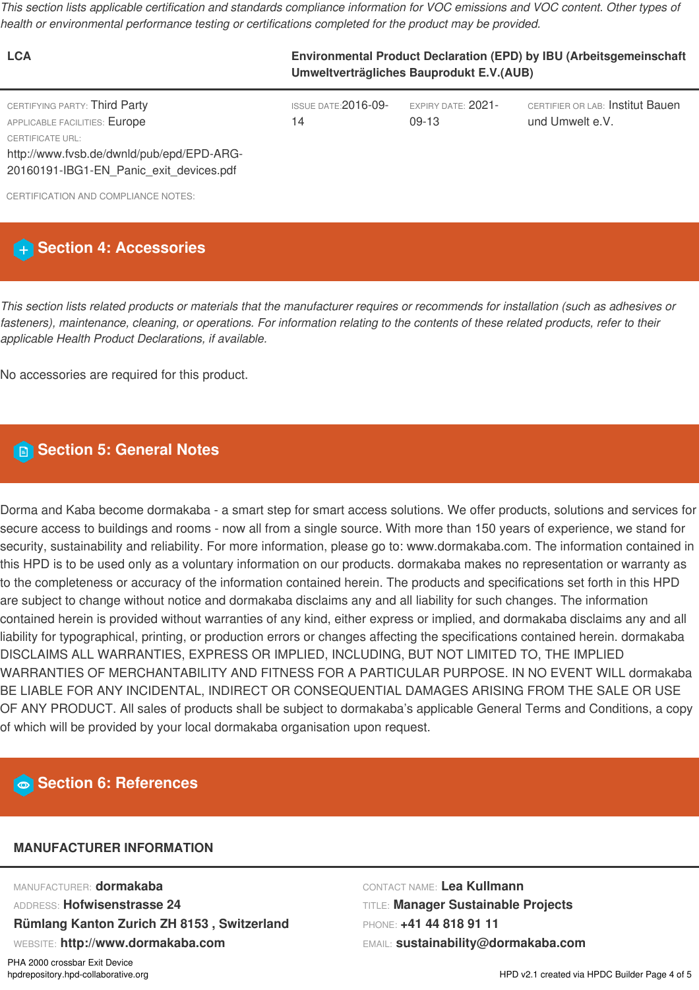This section lists applicable certification and standards compliance information for VOC emissions and VOC content. Other types of *health or environmental performance testing or certifications completed for the product may be provided.*

| <b>LCA</b>                                                                                                                             | Environmental Product Declaration (EPD) by IBU (Arbeitsgemeinschaft<br>Umweltverträgliches Bauprodukt E.V.(AUB) |                             |                                                     |  |
|----------------------------------------------------------------------------------------------------------------------------------------|-----------------------------------------------------------------------------------------------------------------|-----------------------------|-----------------------------------------------------|--|
| CERTIFYING PARTY: Third Party<br>APPLICABLE FACILITIES: Europe<br><b>CERTIFICATE URL:</b><br>http://www.fvsb.de/dwnld/pub/epd/EPD-ARG- | ISSUE DATE: $2016-09-$<br>14                                                                                    | EXPIRY DATE: 2021-<br>09-13 | CERTIFIER OR LAB: Institut Bauen<br>und Umwelt e.V. |  |
| 20160191-IBG1-EN_Panic_exit_devices.pdf                                                                                                |                                                                                                                 |                             |                                                     |  |

CERTIFICATION AND COMPLIANCE NOTES

# **Section 4: Accessories**

This section lists related products or materials that the manufacturer requires or recommends for installation (such as adhesives or fasteners), maintenance, cleaning, or operations. For information relating to the contents of these related products, refer to their *applicable Health Product Declarations, if available.*

No accessories are required for this product.

# **Section 5: General Notes**

Dorma and Kaba become dormakaba - a smart step for smart access solutions. We offer products, solutions and services for secure access to buildings and rooms - now all from a single source. With more than 150 years of experience, we stand for security, sustainability and reliability. For more information, please go to: www.dormakaba.com. The information contained in this HPD is to be used only as a voluntary information on our products. dormakaba makes no representation or warranty as to the completeness or accuracy of the information contained herein. The products and specifications set forth in this HPD are subject to change without notice and dormakaba disclaims any and all liability for such changes. The information contained herein is provided without warranties of any kind, either express or implied, and dormakaba disclaims any and all liability for typographical, printing, or production errors or changes affecting the specifications contained herein. dormakaba DISCLAIMS ALL WARRANTIES, EXPRESS OR IMPLIED, INCLUDING, BUT NOT LIMITED TO, THE IMPLIED WARRANTIES OF MERCHANTABILITY AND FITNESS FOR A PARTICULAR PURPOSE. IN NO EVENT WILL dormakaba BE LIABLE FOR ANY INCIDENTAL, INDIRECT OR CONSEQUENTIAL DAMAGES ARISING FROM THE SALE OR USE OF ANY PRODUCT. All sales of products shall be subject to dormakaba's applicable General Terms and Conditions, a copy of which will be provided by your local dormakaba organisation upon request.

# **Section 6: References**

## **MANUFACTURER INFORMATION**

MANUFACTURER: **dormakaba** ADDRESS: **Hofwisenstrasse 24 Rümlang Kanton Zurich ZH 8153 , Switzerland** WEBSITE: **http://www.dormakaba.com**

CONTACT NAME: **Lea Kullmann** TITLE: **Manager Sustainable Projects** PHONE: **+41 44 818 91 11** EMAIL: **sustainability@dormakaba.com**

PHA 2000 crossbar Exit Device